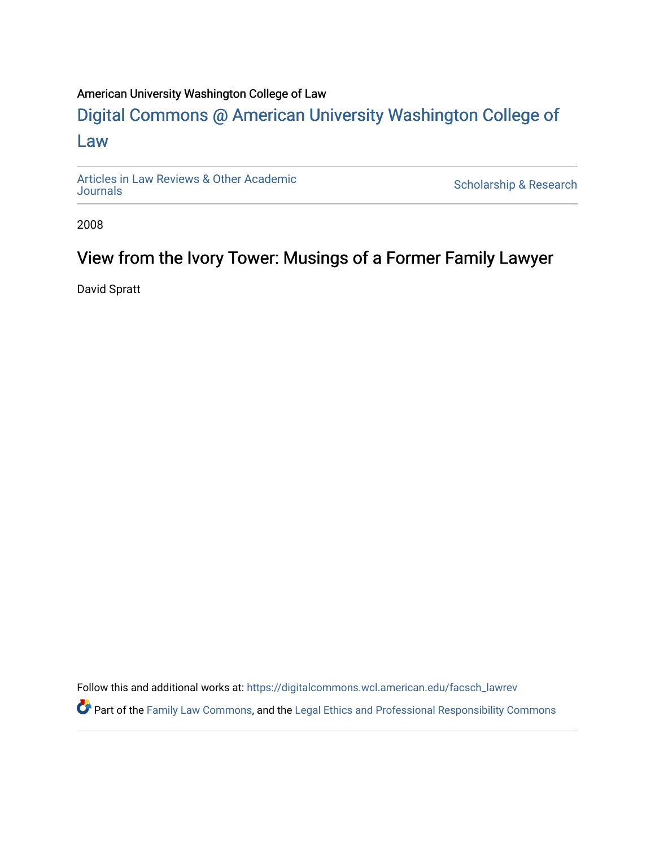#### American University Washington College of Law

### [Digital Commons @ American University Washington College of](https://digitalcommons.wcl.american.edu/)  [Law](https://digitalcommons.wcl.american.edu/)

[Articles in Law Reviews & Other Academic](https://digitalcommons.wcl.american.edu/facsch_lawrev) 

Scholarship & Research

2008

### View from the Ivory Tower: Musings of a Former Family Lawyer

David Spratt

Follow this and additional works at: [https://digitalcommons.wcl.american.edu/facsch\\_lawrev](https://digitalcommons.wcl.american.edu/facsch_lawrev?utm_source=digitalcommons.wcl.american.edu%2Ffacsch_lawrev%2F1804&utm_medium=PDF&utm_campaign=PDFCoverPages) 

Part of the [Family Law Commons,](http://network.bepress.com/hgg/discipline/602?utm_source=digitalcommons.wcl.american.edu%2Ffacsch_lawrev%2F1804&utm_medium=PDF&utm_campaign=PDFCoverPages) and the [Legal Ethics and Professional Responsibility Commons](http://network.bepress.com/hgg/discipline/895?utm_source=digitalcommons.wcl.american.edu%2Ffacsch_lawrev%2F1804&utm_medium=PDF&utm_campaign=PDFCoverPages)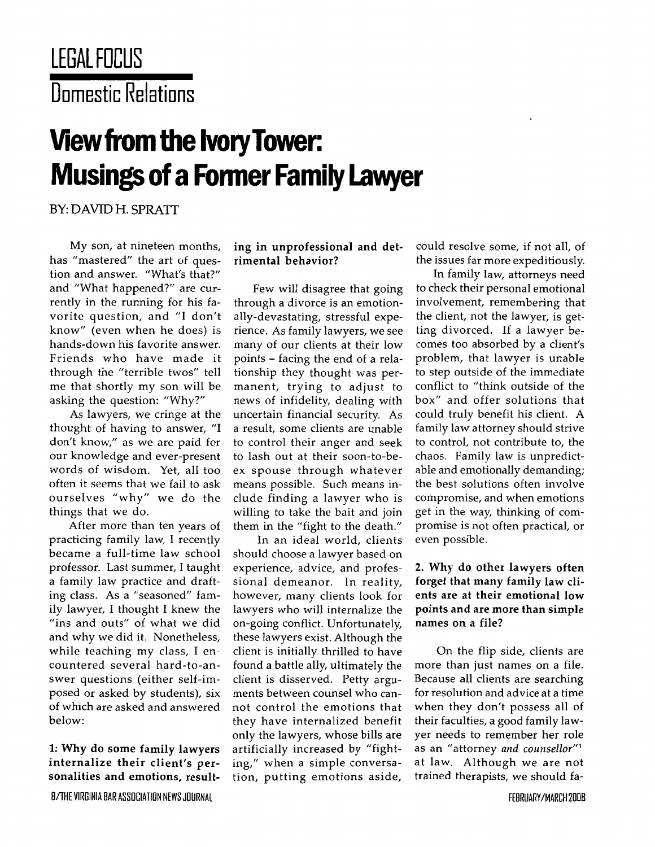## **LEGAL FIIUS** Domestic **Relations**

# **View from the Ivory Tower: Musings of a Former Family Lawyer**

BY: DAVID H. SPRATr

My son, at nineteen months, has "mastered" the art of question and answer. "What's that?" and "What happened?" are currently in the running for his favorite question, and "I don't know" (even when he does) is hands-down his favorite answer. Friends who have made it through the "terrible twos" tell me that shortly my son will be asking the question: "Why?"

As lawyers, we cringe at the thought of having to answer, "I don't know," as we are paid for our knowledge and ever-present words of wisdom. Yet, all too often it seems that we fail to ask ourselves "why" we do the things that we do.

After more than ten years of practicing family law, I recently became a full-time law school professor. Last summer, I taught a family law practice and drafting class. As a "seasoned" family lawyer, I thought I knew the "ins and outs" of what we did and why we did it. Nonetheless, while teaching my class, I encountered several hard-to-answer questions (either self-imposed or asked by students), six of which are asked and answered below:

**1: Why** do some family lawyers internalize their client's personalities and emotions, result-

8/THE VIRGINIA BAR **ASSOCIATION NEWS JOURNAL**

#### ing in unprofessional and detrimental behavior?

Few will disagree that going through a divorce is an emotionally-devastating, stressful experience. As family lawyers, we see many of our clients at their low points **-** facing the end of a relationship they thought was permanent, trying to adjust to news of infidelity, dealing with uncertain financial security. As a result, some clients are unable to control their anger and seek to lash out at their soon-to-beex spouse through whatever means possible. Such means include finding a lawyer who is willing to take the bait and join them in the "fight to the death."

In an ideal world, clients should choose a lawyer based on experience, advice, and professional demeanor. In reality, however, many clients look for lawyers who will internalize the on-going conflict. Unfortunately, these lawyers exist. Although the client is initially thrilled to have found a battle ally, ultimately the client is disserved. Petty arguments between counsel who cannot control the emotions that they have internalized benefit only the lawyers, whose bills are artificially increased **by** "fighting," when a simple conversation, putting emotions aside, could resolve some, if not all, of the issues far more expeditiously.

In family law, attorneys need to check their personal emotional involvement, remembering that the client, not the lawyer, is getting divorced. If a lawyer becomes too absorbed by a client's problem, that lawyer is unable to step outside of the immediate conflict to "think outside of the box" and offer solutions that could truly benefit his client. A family law attorney should strive to control, not contribute to, the chaos. Family law is unpredictable and emotionally demanding; the best solutions often involve compromise, and when emotions get in the way, thinking of compromise is not often practical, or even possible.

#### 2. **Why** do other lawyers often forget that many family law clients are at their emotional low points and are more than simple names on a file?

On the flip side, clients are more than just names on a file. Because all clients are searching for resolution and advice at a time when they don't possess all of their faculties, a good family lawyer needs to remember her role as an "attorney *and counsellor"'* at law. Although we are not trained therapists, we should fa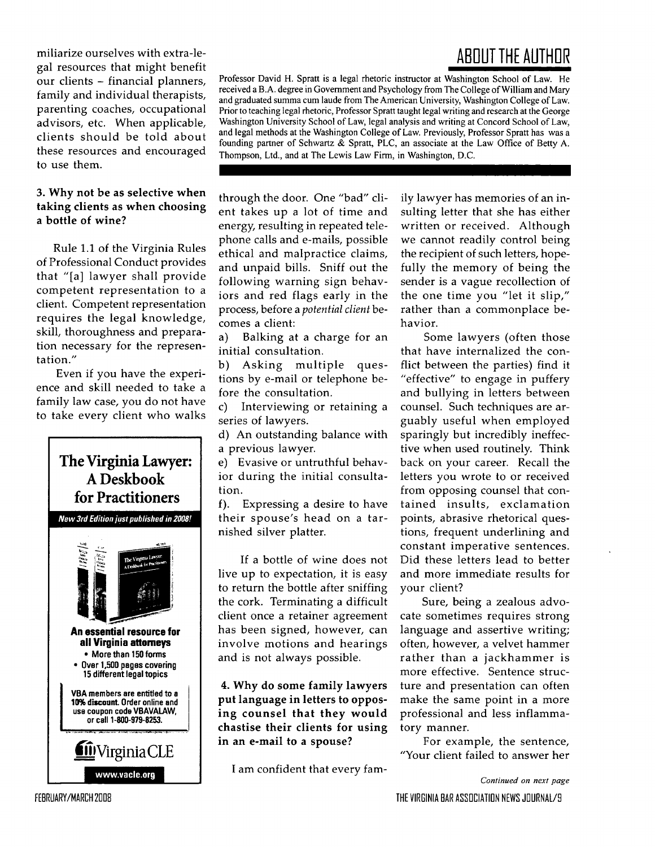miliarize ourselves with extra-legal resources that might benefit our clients - financial planners, family and individual therapists, parenting coaches, occupational advisors, etc. When applicable, clients should be told about these resources and encouraged to use them.

#### **3.** Why not be as selective when taking clients as when choosing a bottle of wine?

Rule 1.1 of the Virginia Rules of Professional Conduct provides that "[a] lawyer shall provide competent representation to a client. Competent representation requires the legal knowledge, skill, thoroughness and preparation necessary for the representation."

Even if you have the experience and skill needed to take a family law case, you do not have to take every client who walks



## **ABOUT THE AUTHOR**

Professor David H. Spratt is a legal rhetoric instructor at Washington School of Law. He received a B.A. degree in Government and Psychology from The College of William and Mary and graduated summa cum laude from The American University, Washington College of Law. Prior to teaching legal rhetoric, Professor Spratt taught legal writing and research at the George Washington University School of Law, legal analysis and writing at Concord School of Law, and legal methods at the Washington College of Law. Previously, Professor Spratt has was a founding partner of Schwartz & Spratt, PLC, an associate at the Law Office of Betty A. Thompson, Ltd., and at The Lewis Law Firm, in Washington, D.C.

through the door. One "bad" client takes up a lot of time and energy, resulting in repeated telephone calls and e-mails, possible ethical and malpractice claims, and unpaid bills. Sniff out the following warning sign behaviors and red flags early in the process, before a *potential client* becomes a client:

a) Balking at a charge for an initial consultation.

b) Asking multiple questions by e-mail or telephone before the consultation.

c) Interviewing or retaining a series of lawyers.

d) An outstanding balance with a previous lawyer.

e) Evasive or untruthful behavior during the initial consultation.

f). Expressing a desire to have their spouse's head on a tarnished silver platter.

If a bottle of wine does not live up to expectation, it is easy to return the bottle after sniffing the cork. Terminating a difficult client once a retainer agreement has been signed, however, can involve motions and hearings and is not always possible.

4. Why do some family lawyers **put language in letters to** opposing **counsel that they would chastise their clients for using in an e-mail to a spouse?**

I am confident that every fam-

ily lawyer has memories of an insulting letter that she has either written or received. Although we cannot readily control being the recipient of such letters, hopefully the memory of being the sender is a vague recollection of the one time you "let it slip," rather than a commonplace behavior.

Some lawyers (often those that have internalized the conflict between the parties) find it "effective" to engage in puffery and bullying in letters between counsel. Such techniques are arguably useful when employed sparingly but incredibly ineffective when used routinely. Think back on your career. Recall the letters you wrote to or received from opposing counsel that contained insults, exclamation points, abrasive rhetorical questions, frequent underlining and constant imperative sentences. Did these letters lead to better and more immediate results for your client?

Sure, being a zealous advocate sometimes requires strong language and assertive writing; often, however, a velvet hammer rather than a jackhammer is more effective. Sentence structure and presentation can often make the same point in a more professional and less inflammatory manner.

For example, the sentence, "Your client failed to answer her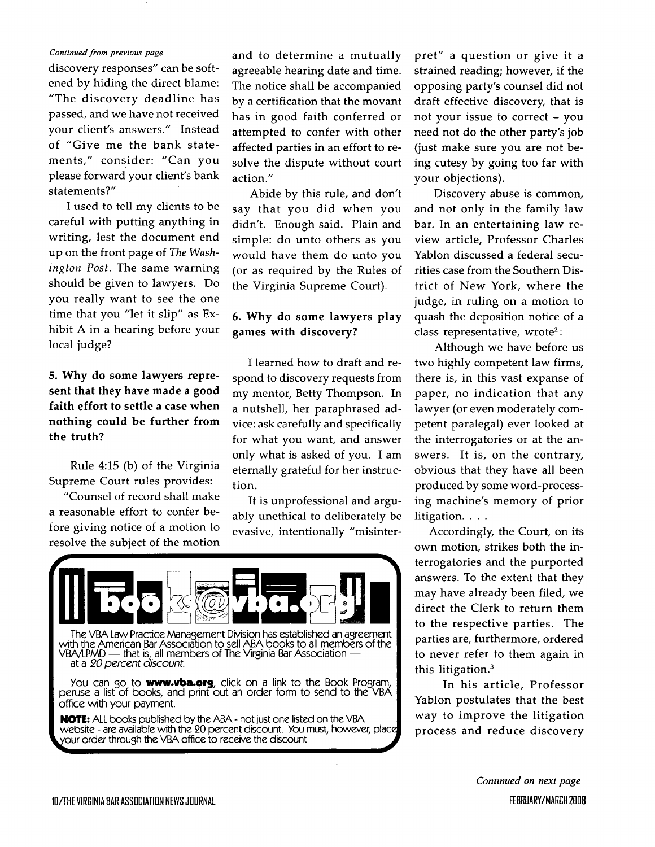#### *Continued* from *previous page*

discovery responses" can be softened by hiding the direct blame: "The discovery deadline has passed, and we have not received your client's answers." Instead of "Give me the bank statements," consider: "Can you please forward your client's bank statements?"

I used to tell my clients to be careful with putting anything in writing, lest the document end up on the front page of *The Washington Post.* The same warning should be given to lawyers. Do you really want to see the one time that you "let it slip" as Exhibit A in a hearing before your local judge?

#### **5.** Why do some lawyers represent that they have made a good faith effort to settle a case when **nothing could** be **further from the truth?**

Rule 4:15 **(b)** of the Virginia Supreme Court rules provides:

"Counsel of record shall make a reasonable effort to confer before giving notice of a motion to resolve the subject of the motion and to determine a mutually agreeable hearing date and time. The notice shall be accompanied by a certification that the movant has in good faith conferred or attempted to confer with other affected parties in an effort to resolve the dispute without court action."

Abide by this rule, and don't say that you did when you didn't. Enough said. Plain and simple: do unto others as you would have them do unto you (or as required by the Rules of the Virginia Supreme Court).

#### 6. **Why** do some lawyers play games with discovery?

I learned how to draft and respond to discovery requests from my mentor, Betty Thompson. In a nutshell, her paraphrased advice: ask carefully and specifically for what you want, and answer only what is asked of you. I am eternally grateful for her instruction.

It is unprofessional and arguably unethical to deliberately be evasive, intentionally "misinter-



The VBA Law Practice Management Division has established an agreement with the American Bar Association to sell ABA books to all members of the VBA/LPMD - that is all members of The Virginia Bar Association at a 20 percent *discount.*

You can go to **www.vba.org,** click on a link to the Book Program, peruse a list of books, and print out an order form to send to the VBA office with your payment.

**NOTE:** ALL books published by the ABA - not just one listed on the VBA website - are available with the 20 percent discount. You must, however, plac our order through the VBA office to receive the discount

pret" a question or give it a strained reading; however, if the opposing party's counsel did not draft effective discovery, that is not your issue to correct – you need not do the other party's job (just make sure you are not being cutesy by going too far with your objections).

Discovery abuse is common, and not only in the family law bar. In an entertaining law review article, Professor Charles Yablon discussed a federal securities case from the Southern District of New York, where the judge, in ruling on a motion to quash the deposition notice of a class representative, wrote<sup>2</sup>:

Although we have before us two highly competent law firms, there is, in this vast expanse of paper, no indication that any lawyer (or even moderately competent paralegal) ever looked at the interrogatories or at the answers. It is, on the contrary, obvious that they have all been produced by some word-processing machine's memory of prior litigation. **...**

Accordingly, the Court, on its own motion, strikes both the interrogatories and the purported answers. To the extent that they may have already been filed, we direct the Clerk to return them to the respective parties. The parties are, furthermore, ordered to never refer to them again in this litigation.3

In his article, Professor Yablon postulates that the best way to improve the litigation process and reduce discovery